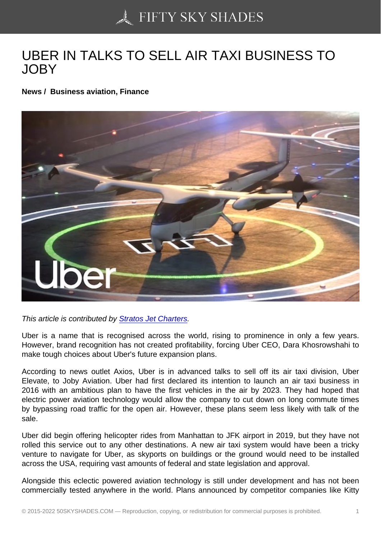## [UBER IN TALKS TO S](https://50skyshades.com)ELL AIR TAXI BUSINESS TO JOBY

News / Business aviation, Finance

This article is contributed by Stratos Jet Charters.

Uber is a name that is recognised across the world, rising to prominence in only a few years. However, brand recognition has not created profitability, forcing Uber CEO, Dara Khosrowshahi to make tough choices about [Uber's future expansio](https://www.stratosjets.com/)n plans.

According to news outlet Axios, Uber is in advanced talks to sell off its air taxi division, Uber Elevate, to Joby Aviation. Uber had first declared its intention to launch an air taxi business in 2016 with an ambitious plan to have the first vehicles in the air by 2023. They had hoped that electric power aviation technology would allow the company to cut down on long commute times by bypassing road traffic for the open air. However, these plans seem less likely with talk of the sale.

Uber did begin offering helicopter rides from Manhattan to JFK airport in 2019, but they have not rolled this service out to any other destinations. A new air taxi system would have been a tricky venture to navigate for Uber, as skyports on buildings or the ground would need to be installed across the USA, requiring vast amounts of federal and state legislation and approval.

Alongside this eclectic powered aviation technology is still under development and has not been commercially tested anywhere in the world. Plans announced by competitor companies like Kitty